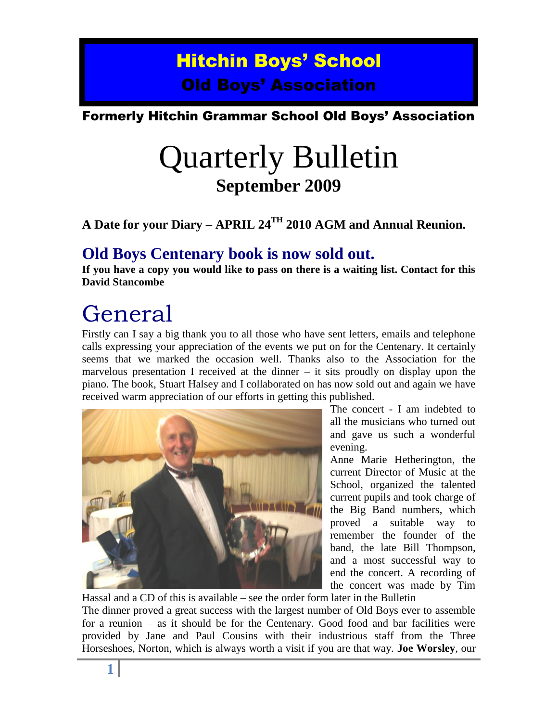## Hitchin Boys' School Old Boys' Association

## Formerly Hitchin Grammar School Old Boys' Association

# Quarterly Bulletin **September 2009**

**A Date for your Diary – APRIL 24TH 2010 AGM and Annual Reunion.**

## **Old Boys Centenary book is now sold out.**

**If you have a copy you would like to pass on there is a waiting list. Contact for this David Stancombe**

# General

Firstly can I say a big thank you to all those who have sent letters, emails and telephone calls expressing your appreciation of the events we put on for the Centenary. It certainly seems that we marked the occasion well. Thanks also to the Association for the marvelous presentation I received at the dinner  $-$  it sits proudly on display upon the piano. The book, Stuart Halsey and I collaborated on has now sold out and again we have received warm appreciation of our efforts in getting this published.



The concert - I am indebted to all the musicians who turned out and gave us such a wonderful evening.

Anne Marie Hetherington, the current Director of Music at the School, organized the talented current pupils and took charge of the Big Band numbers, which proved a suitable way to remember the founder of the band, the late Bill Thompson, and a most successful way to end the concert. A recording of the concert was made by Tim

Hassal and a CD of this is available – see the order form later in the Bulletin The dinner proved a great success with the largest number of Old Boys ever to assemble for a reunion – as it should be for the Centenary. Good food and bar facilities were provided by Jane and Paul Cousins with their industrious staff from the Three Horseshoes, Norton, which is always worth a visit if you are that way. **Joe Worsley**, our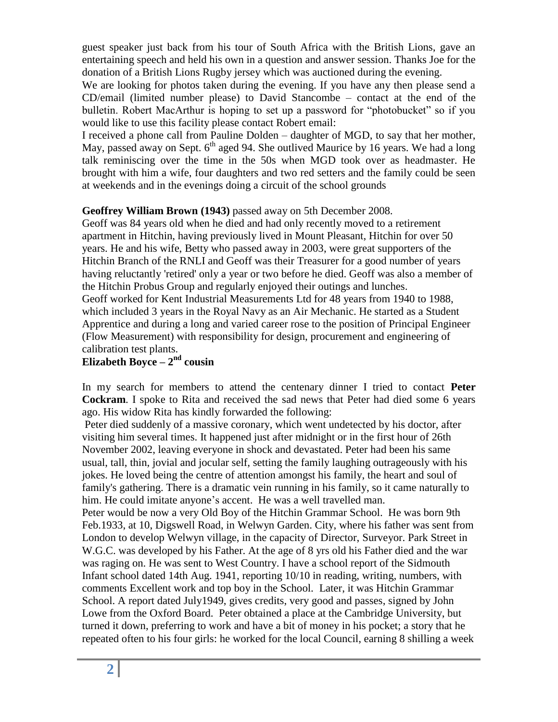guest speaker just back from his tour of South Africa with the British Lions, gave an entertaining speech and held his own in a question and answer session. Thanks Joe for the donation of a British Lions Rugby jersey which was auctioned during the evening.

We are looking for photos taken during the evening. If you have any then please send a CD/email (limited number please) to David Stancombe – contact at the end of the bulletin. Robert MacArthur is hoping to set up a password for "photobucket" so if you would like to use this facility please contact Robert email:

I received a phone call from Pauline Dolden – daughter of MGD, to say that her mother, May, passed away on Sept.  $6<sup>th</sup>$  aged 94. She outlived Maurice by 16 years. We had a long talk reminiscing over the time in the 50s when MGD took over as headmaster. He brought with him a wife, four daughters and two red setters and the family could be seen at weekends and in the evenings doing a circuit of the school grounds

### **Geoffrey William Brown (1943)** passed away on 5th December 2008.

Geoff was 84 years old when he died and had only recently moved to a retirement apartment in Hitchin, having previously lived in Mount Pleasant, Hitchin for over 50 years. He and his wife, Betty who passed away in 2003, were great supporters of the Hitchin Branch of the RNLI and Geoff was their Treasurer for a good number of years having reluctantly 'retired' only a year or two before he died. Geoff was also a member of the Hitchin Probus Group and regularly enjoyed their outings and lunches. Geoff worked for Kent Industrial Measurements Ltd for 48 years from 1940 to 1988, which included 3 years in the Royal Navy as an Air Mechanic. He started as a Student Apprentice and during a long and varied career rose to the position of Principal Engineer (Flow Measurement) with responsibility for design, procurement and engineering of calibration test plants.

### **Elizabeth Boyce – 2<sup>nd</sup> cousin**

In my search for members to attend the centenary dinner I tried to contact **Peter Cockram**. I spoke to Rita and received the sad news that Peter had died some 6 years ago. His widow Rita has kindly forwarded the following:

Peter died suddenly of a massive coronary, which went undetected by his doctor, after visiting him several times. It happened just after midnight or in the first hour of 26th November 2002, leaving everyone in shock and devastated. Peter had been his same usual, tall, thin, jovial and jocular self, setting the family laughing outrageously with his jokes. He loved being the centre of attention amongst his family, the heart and soul of family's gathering. There is a dramatic vein running in his family, so it came naturally to him. He could imitate anyone's accent. He was a well travelled man.

Peter would be now a very Old Boy of the Hitchin Grammar School. He was born 9th Feb.1933, at 10, Digswell Road, in Welwyn Garden. City, where his father was sent from London to develop Welwyn village, in the capacity of Director, Surveyor. Park Street in W.G.C. was developed by his Father. At the age of 8 yrs old his Father died and the war was raging on. He was sent to West Country. I have a school report of the Sidmouth Infant school dated 14th Aug. 1941, reporting 10/10 in reading, writing, numbers, with comments Excellent work and top boy in the School. Later, it was Hitchin Grammar School. A report dated July1949, gives credits, very good and passes, signed by John Lowe from the Oxford Board. Peter obtained a place at the Cambridge University, but turned it down, preferring to work and have a bit of money in his pocket; a story that he repeated often to his four girls: he worked for the local Council, earning 8 shilling a week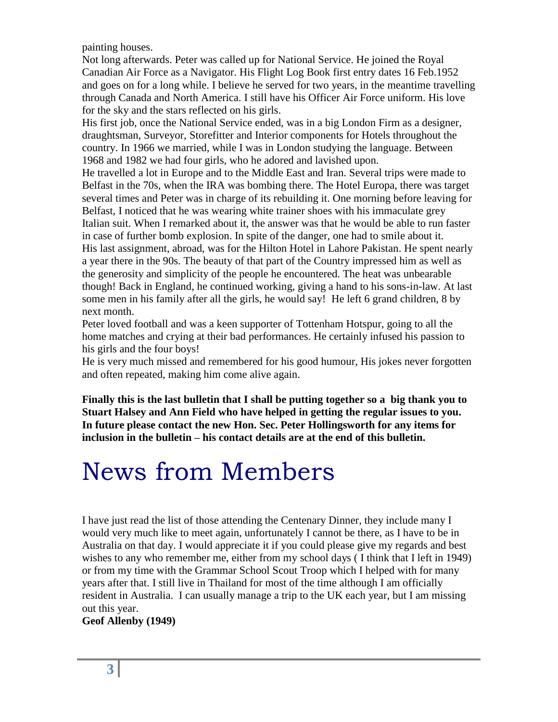painting houses.

Not long afterwards. Peter was called up for National Service. He joined the Royal Canadian Air Force as a Navigator. His Flight Log Book first entry dates 16 Feb.1952 and goes on for a long while. I believe he served for two years, in the meantime travelling through Canada and North America. I still have his Officer Air Force uniform. His love for the sky and the stars reflected on his girls.

His first job, once the National Service ended, was in a big London Firm as a designer, draughtsman, Surveyor, Storefitter and Interior components for Hotels throughout the country. In 1966 we married, while I was in London studying the language. Between 1968 and 1982 we had four girls, who he adored and lavished upon.

He travelled a lot in Europe and to the Middle East and Iran. Several trips were made to Belfast in the 70s, when the IRA was bombing there. The Hotel Europa, there was target several times and Peter was in charge of its rebuilding it. One morning before leaving for Belfast, I noticed that he was wearing white trainer shoes with his immaculate grey Italian suit. When I remarked about it, the answer was that he would be able to run faster in case of further bomb explosion. In spite of the danger, one had to smile about it. His last assignment, abroad, was for the Hilton Hotel in Lahore Pakistan. He spent nearly a year there in the 90s. The beauty of that part of the Country impressed him as well as the generosity and simplicity of the people he encountered. The heat was unbearable though! Back in England, he continued working, giving a hand to his sons-in-law. At last some men in his family after all the girls, he would say! He left 6 grand children, 8 by next month.

Peter loved football and was a keen supporter of Tottenham Hotspur, going to all the home matches and crying at their bad performances. He certainly infused his passion to his girls and the four boys!

He is very much missed and remembered for his good humour, His jokes never forgotten and often repeated, making him come alive again.

**Finally this is the last bulletin that I shall be putting together so a big thank you to Stuart Halsey and Ann Field who have helped in getting the regular issues to you. In future please contact the new Hon. Sec. Peter Hollingsworth for any items for inclusion in the bulletin – his contact details are at the end of this bulletin.**

# News from Members

I have just read the list of those attending the Centenary Dinner, they include many I would very much like to meet again, unfortunately I cannot be there, as I have to be in Australia on that day. I would appreciate it if you could please give my regards and best wishes to any who remember me, either from my school days ( I think that I left in 1949) or from my time with the Grammar School Scout Troop which I helped with for many years after that. I still live in Thailand for most of the time although I am officially resident in Australia. I can usually manage a trip to the UK each year, but I am missing out this year.

**Geof Allenby (1949)**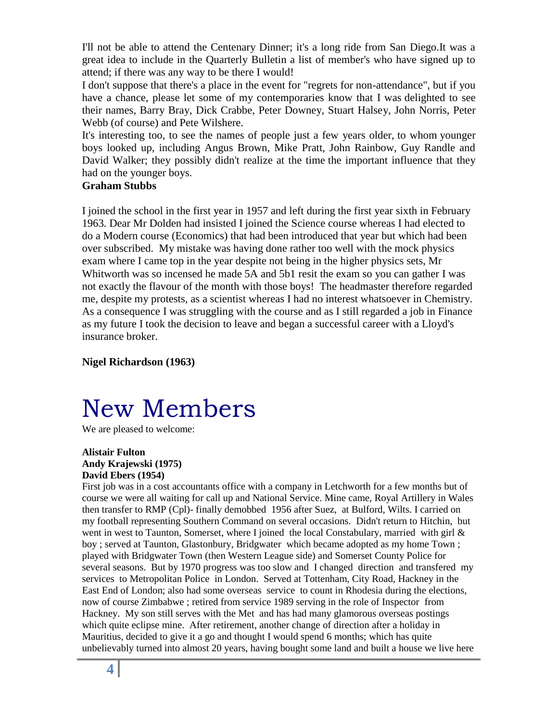I'll not be able to attend the Centenary Dinner; it's a long ride from San Diego.It was a great idea to include in the Quarterly Bulletin a list of member's who have signed up to attend; if there was any way to be there I would!

I don't suppose that there's a place in the event for "regrets for non-attendance", but if you have a chance, please let some of my contemporaries know that I was delighted to see their names, Barry Bray, Dick Crabbe, Peter Downey, Stuart Halsey, John Norris, Peter Webb (of course) and Pete Wilshere.

It's interesting too, to see the names of people just a few years older, to whom younger boys looked up, including Angus Brown, Mike Pratt, John Rainbow, Guy Randle and David Walker; they possibly didn't realize at the time the important influence that they had on the younger boys.

### **Graham Stubbs**

I joined the school in the first year in 1957 and left during the first year sixth in February 1963. Dear Mr Dolden had insisted I joined the Science course whereas I had elected to do a Modern course (Economics) that had been introduced that year but which had been over subscribed. My mistake was having done rather too well with the mock physics exam where I came top in the year despite not being in the higher physics sets, Mr Whitworth was so incensed he made 5A and 5b1 resit the exam so you can gather I was not exactly the flavour of the month with those boys! The headmaster therefore regarded me, despite my protests, as a scientist whereas I had no interest whatsoever in Chemistry. As a consequence I was struggling with the course and as I still regarded a job in Finance as my future I took the decision to leave and began a successful career with a Lloyd's insurance broker.

**Nigel Richardson (1963)**

# New Members

We are pleased to welcome:

#### **Alistair Fulton Andy Krajewski (1975) David Ebers (1954)**

First job was in a cost accountants office with a company in Letchworth for a few months but of course we were all waiting for call up and National Service. Mine came, Royal Artillery in Wales then transfer to RMP (Cpl)- finally demobbed 1956 after Suez, at Bulford, Wilts. I carried on my football representing Southern Command on several occasions. Didn't return to Hitchin, but went in west to Taunton, Somerset, where I joined the local Constabulary, married with girl  $\&$ boy ; served at Taunton, Glastonbury, Bridgwater which became adopted as my home Town ; played with Bridgwater Town (then Western League side) and Somerset County Police for several seasons. But by 1970 progress was too slow and I changed direction and transfered my services to Metropolitan Police in London. Served at Tottenham, City Road, Hackney in the East End of London; also had some overseas service to count in Rhodesia during the elections, now of course Zimbabwe ; retired from service 1989 serving in the role of Inspector from Hackney. My son still serves with the Met and has had many glamorous overseas postings which quite eclipse mine. After retirement, another change of direction after a holiday in Mauritius, decided to give it a go and thought I would spend 6 months; which has quite unbelievably turned into almost 20 years, having bought some land and built a house we live here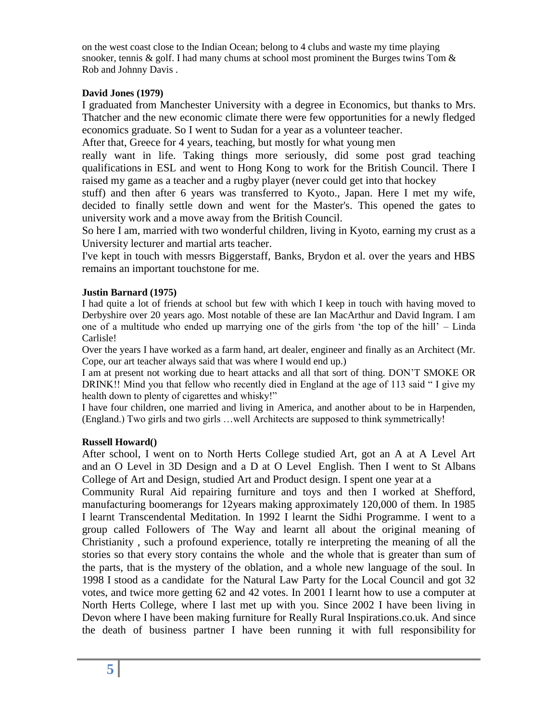on the west coast close to the Indian Ocean; belong to 4 clubs and waste my time playing snooker, tennis & golf. I had many chums at school most prominent the Burges twins Tom  $\&$ Rob and Johnny Davis .

#### **David Jones (1979)**

I graduated from Manchester University with a degree in Economics, but thanks to Mrs. Thatcher and the new economic climate there were few opportunities for a newly fledged economics graduate. So I went to Sudan for a year as a volunteer teacher.

After that, Greece for 4 years, teaching, but mostly for what young men

really want in life. Taking things more seriously, did some post grad teaching qualifications in ESL and went to Hong Kong to work for the British Council. There I raised my game as a teacher and a rugby player (never could get into that hockey

stuff) and then after 6 years was transferred to Kyoto., Japan. Here I met my wife, decided to finally settle down and went for the Master's. This opened the gates to university work and a move away from the British Council.

So here I am, married with two wonderful children, living in Kyoto, earning my crust as a University lecturer and martial arts teacher.

I've kept in touch with messrs Biggerstaff, Banks, Brydon et al. over the years and HBS remains an important touchstone for me.

#### **Justin Barnard (1975)**

I had quite a lot of friends at school but few with which I keep in touch with having moved to Derbyshire over 20 years ago. Most notable of these are Ian MacArthur and David Ingram. I am one of a multitude who ended up marrying one of the girls from "the top of the hill" – Linda Carlisle!

Over the years I have worked as a farm hand, art dealer, engineer and finally as an Architect (Mr. Cope, our art teacher always said that was where I would end up.)

I am at present not working due to heart attacks and all that sort of thing. DON"T SMOKE OR DRINK!! Mind you that fellow who recently died in England at the age of 113 said " I give my health down to plenty of cigarettes and whisky!"

I have four children, one married and living in America, and another about to be in Harpenden, (England.) Two girls and two girls …well Architects are supposed to think symmetrically!

#### **Russell Howard()**

After school, I went on to North Herts College studied Art, got an A at A Level Art and an O Level in 3D Design and a D at O Level English. Then I went to St Albans College of Art and Design, studied Art and Product design. I spent one year at a

Community Rural Aid repairing furniture and toys and then I worked at Shefford, manufacturing boomerangs for 12years making approximately 120,000 of them. In 1985 I learnt Transcendental Meditation. In 1992 I learnt the Sidhi Programme. I went to a group called Followers of The Way and learnt all about the original meaning of Christianity , such a profound experience, totally re interpreting the meaning of all the stories so that every story contains the whole and the whole that is greater than sum of the parts, that is the mystery of the oblation, and a whole new language of the soul. In 1998 I stood as a candidate for the Natural Law Party for the Local Council and got 32 votes, and twice more getting 62 and 42 votes. In 2001 I learnt how to use a computer at North Herts College, where I last met up with you. Since 2002 I have been living in Devon where I have been making furniture for Really Rural Inspirations.co.uk. And since the death of business partner I have been running it with full responsibility for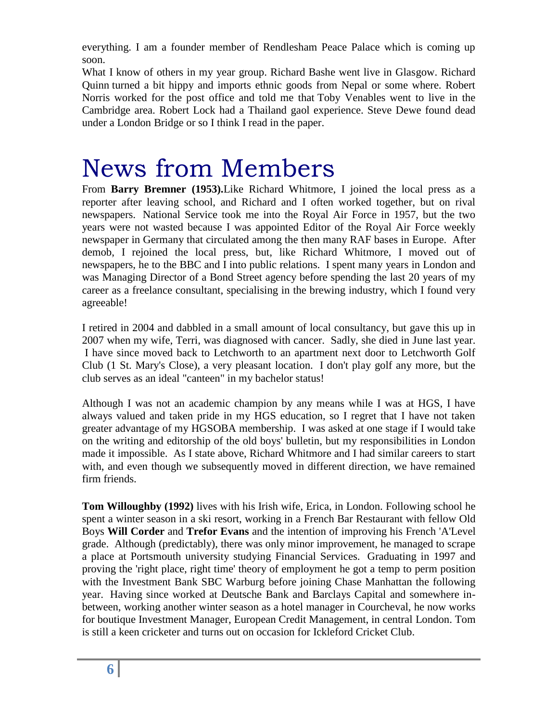everything. I am a founder member of Rendlesham Peace Palace which is coming up soon.

What I know of others in my year group. Richard Bashe went live in Glasgow. Richard Quinn turned a bit hippy and imports ethnic goods from Nepal or some where. Robert Norris worked for the post office and told me that Toby Venables went to live in the Cambridge area. Robert Lock had a Thailand gaol experience. Steve Dewe found dead under a London Bridge or so I think I read in the paper.

# News from Members

From **Barry Bremner (1953).**Like Richard Whitmore, I joined the local press as a reporter after leaving school, and Richard and I often worked together, but on rival newspapers. National Service took me into the Royal Air Force in 1957, but the two years were not wasted because I was appointed Editor of the Royal Air Force weekly newspaper in Germany that circulated among the then many RAF bases in Europe. After demob, I rejoined the local press, but, like Richard Whitmore, I moved out of newspapers, he to the BBC and I into public relations. I spent many years in London and was Managing Director of a Bond Street agency before spending the last 20 years of my career as a freelance consultant, specialising in the brewing industry, which I found very agreeable!

I retired in 2004 and dabbled in a small amount of local consultancy, but gave this up in 2007 when my wife, Terri, was diagnosed with cancer. Sadly, she died in June last year. I have since moved back to Letchworth to an apartment next door to Letchworth Golf Club (1 St. Mary's Close), a very pleasant location. I don't play golf any more, but the club serves as an ideal "canteen" in my bachelor status!

Although I was not an academic champion by any means while I was at HGS, I have always valued and taken pride in my HGS education, so I regret that I have not taken greater advantage of my HGSOBA membership. I was asked at one stage if I would take on the writing and editorship of the old boys' bulletin, but my responsibilities in London made it impossible. As I state above, Richard Whitmore and I had similar careers to start with, and even though we subsequently moved in different direction, we have remained firm friends.

**Tom Willoughby (1992)** lives with his Irish wife, Erica, in London. Following school he spent a winter season in a ski resort, working in a French Bar Restaurant with fellow Old Boys **Will Corder** and **Trefor Evans** and the intention of improving his French 'A'Level grade. Although (predictably), there was only minor improvement, he managed to scrape a place at Portsmouth university studying Financial Services. Graduating in 1997 and proving the 'right place, right time' theory of employment he got a temp to perm position with the Investment Bank SBC Warburg before joining Chase Manhattan the following year. Having since worked at Deutsche Bank and Barclays Capital and somewhere inbetween, working another winter season as a hotel manager in Courcheval, he now works for boutique Investment Manager, European Credit Management, in central London. Tom is still a keen cricketer and turns out on occasion for Ickleford Cricket Club.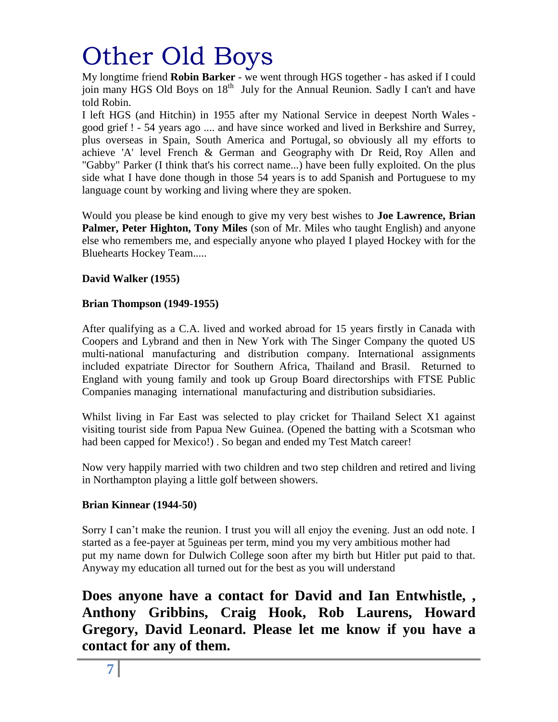# Other Old Boys

My longtime friend **Robin Barker** - we went through HGS together - has asked if I could join many HGS Old Boys on 18<sup>th</sup> July for the Annual Reunion. Sadly I can't and have told Robin.

I left HGS (and Hitchin) in 1955 after my National Service in deepest North Wales good grief ! - 54 years ago .... and have since worked and lived in Berkshire and Surrey, plus overseas in Spain, South America and Portugal, so obviously all my efforts to achieve 'A' level French & German and Geography with Dr Reid, Roy Allen and "Gabby" Parker (I think that's his correct name...) have been fully exploited. On the plus side what I have done though in those 54 years is to add Spanish and Portuguese to my language count by working and living where they are spoken.

Would you please be kind enough to give my very best wishes to **Joe Lawrence, Brian Palmer, Peter Highton, Tony Miles** (son of Mr. Miles who taught English) and anyone else who remembers me, and especially anyone who played I played Hockey with for the Bluehearts Hockey Team.....

### **David Walker (1955)**

### **Brian Thompson (1949-1955)**

After qualifying as a C.A. lived and worked abroad for 15 years firstly in Canada with Coopers and Lybrand and then in New York with The Singer Company the quoted US multi-national manufacturing and distribution company. International assignments included expatriate Director for Southern Africa, Thailand and Brasil. Returned to England with young family and took up Group Board directorships with FTSE Public Companies managing international manufacturing and distribution subsidiaries.

Whilst living in Far East was selected to play cricket for Thailand Select X1 against visiting tourist side from Papua New Guinea. (Opened the batting with a Scotsman who had been capped for Mexico!) . So began and ended my Test Match career!

Now very happily married with two children and two step children and retired and living in Northampton playing a little golf between showers.

### **Brian Kinnear (1944-50)**

Sorry I can't make the reunion. I trust you will all enjoy the evening. Just an odd note. I started as a fee-payer at 5guineas per term, mind you my very ambitious mother had put my name down for Dulwich College soon after my birth but Hitler put paid to that. Anyway my education all turned out for the best as you will understand

**Does anyone have a contact for David and Ian Entwhistle, , Anthony Gribbins, Craig Hook, Rob Laurens, Howard Gregory, David Leonard. Please let me know if you have a contact for any of them.**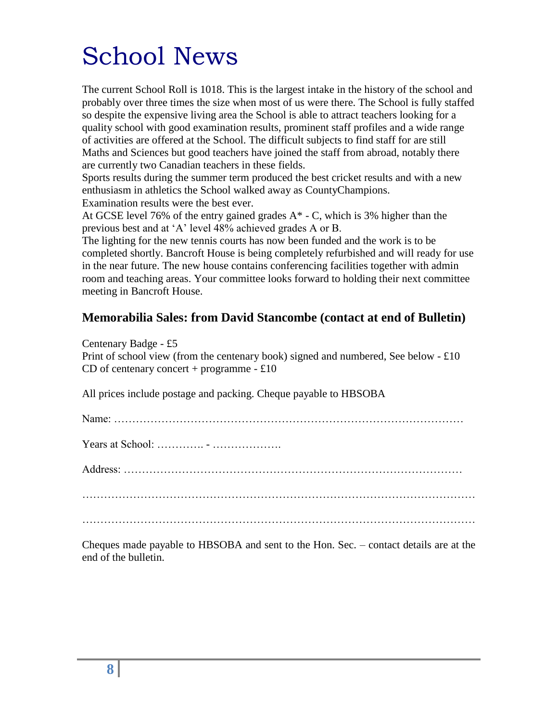# School News

The current School Roll is 1018. This is the largest intake in the history of the school and probably over three times the size when most of us were there. The School is fully staffed so despite the expensive living area the School is able to attract teachers looking for a quality school with good examination results, prominent staff profiles and a wide range of activities are offered at the School. The difficult subjects to find staff for are still Maths and Sciences but good teachers have joined the staff from abroad, notably there are currently two Canadian teachers in these fields.

Sports results during the summer term produced the best cricket results and with a new enthusiasm in athletics the School walked away as CountyChampions. Examination results were the best ever.

At GCSE level 76% of the entry gained grades  $A^*$  - C, which is 3% higher than the previous best and at "A" level 48% achieved grades A or B.

The lighting for the new tennis courts has now been funded and the work is to be completed shortly. Bancroft House is being completely refurbished and will ready for use in the near future. The new house contains conferencing facilities together with admin room and teaching areas. Your committee looks forward to holding their next committee meeting in Bancroft House.

### **Memorabilia Sales: from David Stancombe (contact at end of Bulletin)**

Centenary Badge - £5 Print of school view (from the centenary book) signed and numbered, See below - £10 CD of centenary concert + programme  $-£10$ 

All prices include postage and packing. Cheque payable to HBSOBA

| Years at School: $\dots \dots \dots \dots \dots \dots \dots \dots \dots$ |  |
|--------------------------------------------------------------------------|--|
|                                                                          |  |
|                                                                          |  |
|                                                                          |  |

Cheques made payable to HBSOBA and sent to the Hon. Sec. – contact details are at the end of the bulletin.